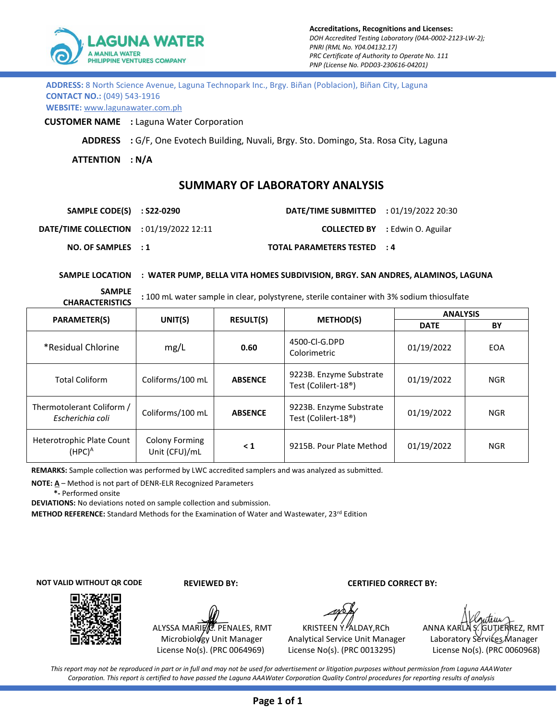

**ADDRESS:** 8 North Science Avenue, Laguna Technopark Inc., Brgy. Biñan (Poblacion), Biñan City, Laguna **CONTACT NO.:** (049) 543-1916

**WEBSITE:** www.lagunawater.com.ph

**CUSTOMER NAME :** Laguna Water Corporation

**ADDRESS :** G/F, One Evotech Building, Nuvali, Brgy. Sto. Domingo, Sta. Rosa City, Laguna

**ATTENTION : N/A**

## **SUMMARY OF LABORATORY ANALYSIS**

| SAMPLE CODE(S) : S22-0290                      | <b>DATE/TIME SUBMITTED</b> : 01/19/2022 20:30 |                                        |
|------------------------------------------------|-----------------------------------------------|----------------------------------------|
| <b>DATE/TIME COLLECTION</b> : 01/19/2022 12:11 |                                               | <b>COLLECTED BY</b> : Edwin O. Aguilar |
| NO. OF SAMPLEX : 1                             | TOTAL PARAMETERS TESTED : 4                   |                                        |

## **SAMPLE LOCATION : WATER PUMP, BELLA VITA HOMES SUBDIVISION, BRGY. SAN ANDRES, ALAMINOS, LAGUNA**

**SAMPLE** 

**CHARACTERISTICS :** 100 mL water sample in clear, polystyrene, sterile container with 3% sodium thiosulfate

| <b>PARAMETER(S)</b>                                | UNIT(S)                                | <b>RESULT(S)</b> | <b>METHOD(S)</b>                                            | <b>ANALYSIS</b> |            |
|----------------------------------------------------|----------------------------------------|------------------|-------------------------------------------------------------|-----------------|------------|
|                                                    |                                        |                  |                                                             | <b>DATE</b>     | BY         |
| *Residual Chlorine                                 | mg/L                                   | 0.60             | 4500-CI-G.DPD<br>Colorimetric                               | 01/19/2022      | <b>EOA</b> |
| <b>Total Coliform</b>                              | Coliforms/100 mL                       | <b>ABSENCE</b>   | 9223B. Enzyme Substrate<br>Test (Colilert-18 <sup>®</sup> ) | 01/19/2022      | <b>NGR</b> |
| Thermotolerant Coliform /<br>Escherichia coli      | Coliforms/100 mL                       | <b>ABSENCE</b>   | 9223B. Enzyme Substrate<br>Test (Colilert-18 <sup>®</sup> ) | 01/19/2022      | <b>NGR</b> |
| Heterotrophic Plate Count<br>(HPC) $^{\mathsf{A}}$ | <b>Colony Forming</b><br>Unit (CFU)/mL | $\leq 1$         | 9215B. Pour Plate Method                                    | 01/19/2022      | <b>NGR</b> |

**REMARKS:** Sample collection was performed by LWC accredited samplers and was analyzed as submitted.

**NOTE: A** – Method is not part of DENR-ELR Recognized Parameters

 **\*-** Performed onsite

**DEVIATIONS:** No deviations noted on sample collection and submission.

**METHOD REFERENCE:** Standard Methods for the Examination of Water and Wastewater, 23rd Edition

**NOT VALID WITHOUT QR CODE**



ALYSSA MARIE C. PENALES, RMT Microbiology Unit Manager License No(s). (PRC 0064969)

 **REVIEWED BY: CERTIFIED CORRECT BY:**

Analytical Service Unit Manager Laboratory Services Manager License No(s). (PRC 0013295) License No(s). (PRC 0060968)

KRISTEEN Y. ALDAY, RCh ANNA KARLA S. GUTJERREZ, RMT

*This report may not be reproduced in part or in full and may not be used for advertisement or litigation purposes without permission from Laguna AAAWater Corporation. This report is certified to have passed the Laguna AAAWater Corporation Quality Control procedures for reporting results of analysis*